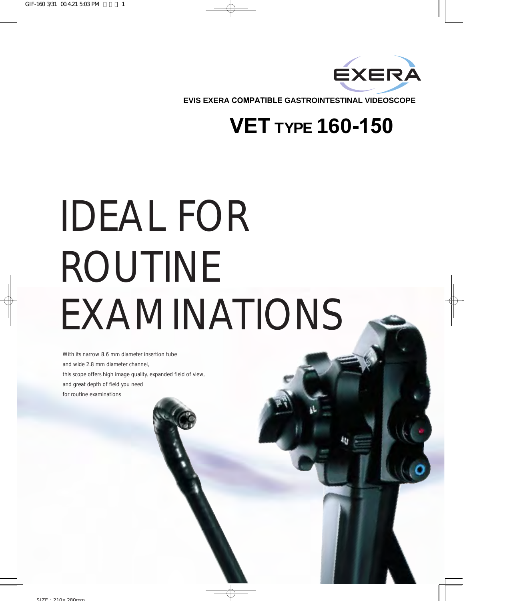

**EVIS EXERA COMPATIBLE GASTROINTESTINAL VIDEOSCOPE**

## **VET TYPE 160-150**

## IDEAL FOR ROUTINE EXAMINATIONS

With its narrow 8.6 mm diameter insertion tube and wide 2.8 mm diameter channel, this scope offers high image quality, expanded field of view, and great depth of field you need for routine examinations